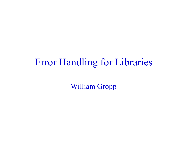### Error Handling for Libraries

William Gropp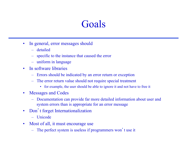### Goals

- In general, error messages should
	- detailed
	- specific to the instance that caused the error
	- uniform in language
- In software libraries
	- Errors should be indicated by an error return or exception
	- The error return value should not require special treatment
		- for example, the user should be able to ignore it and not have to free it
- Messages and Codes
	- Documentation can provide far more detailed information about user and system errors than is appropriate for an error message
- Don't forget Internationalization
	- Unicode
- Most of all, it must encourage use
	- The perfect system is useless if programmers won't use it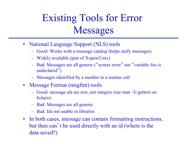# Existing Tools for Error Messages

- National Language Support (NLS) tools
	- Good: Works with a message catalog (helps unify messages)
	- Widely available (part of Xopen/Unix)
	- Bad: Messages are all generic ("syntax error" not "variable foo is undeclared")
	- Messages identified by a number in a routine call
- Message Format (msgfmt) tools
	- Good: message ids are text, not integers (see man -3i gettext on Solaris)
	- Bad: Messages are all generic
	- Bad: Ids not usable in libraries
- In both cases, message can contain formatting instructions, but then can't be used directly with an id (where is the data saved?)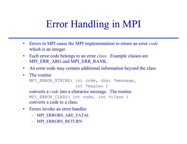## Error Handling in MPI

- Errors in MPI cause the MPI implementation to return an error *code*  which is an integer.
- Each error code belongs to an error *class.* Example classes are MPI\_ERR\_ARG and MPI\_ERR\_RANK.
- An error code may contain additional information beyond the class
- The routine

```
MPI ERROR STRING( int code, char *message,
```

```
 int *msglen )
```
converts a *code* into a character message. The routine MPI ERROR CLASS( int code, int \*class) converts a code to a class.

- Errors invoke an error handler
	- MPI\_ERRORS\_ARE\_FATAL
	- MPI\_ERRORS\_RETURN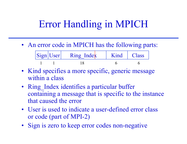### Error Handling in MPICH

• An error code in MPICH has the following parts:

| $ \text{Sign} $ User | . Ring Index | Kind   Class |  |
|----------------------|--------------|--------------|--|
|                      |              |              |  |

- Kind specifies a more specific, generic message within a class
- Ring Index identifies a particular buffer containing a message that is specific to the instance that caused the error
- User is used to indicate a user-defined error class or code (part of MPI-2)
- Sign is zero to keep error codes non-negative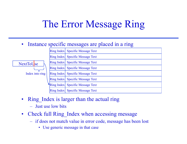### The Error Message Ring

#### • Instance specific messages are placed in a ring

|                  | Ring Index Specific Message Text |
|------------------|----------------------------------|
|                  | Ring Index Specific Message Text |
| <b>NextToUse</b> | Ring Index Specific Message Text |
|                  | Ring Index Specific Message Text |
| Index into ring  | Ring Index Specific Message Text |
|                  | Ring Index Specific Message Text |
|                  | Ring Index Specific Message Text |
|                  | Ring Index Specific Message Text |
|                  |                                  |

- Ring Index is larger than the actual ring
	- Just use low bits
- Check full Ring Index when accessing message
	- if does not match value in error code, message has been lost
		- Use generic message in that case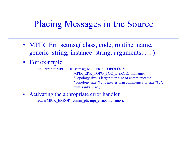### Placing Messages in the Source

- MPIR Err setmsg( class, code, routine name, generic string, instance string, arguments, ... )
- For example
	- mpi\_errno = MPIR\_Err\_setmsg( MPI\_ERR\_TOPOLOGY,

MPIR\_ERR\_TOPO\_TOO\_LARGE, myname, "Topology size is larger than size of communicator", "Topology size %d is greater than communicator size %d", num ranks, size );

- Activating the appropriate error handler
	- return MPIR\_ERROR( comm\_ptr, mpi\_errno, myname );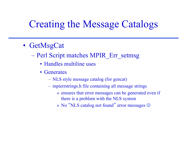### Creating the Message Catalogs

- GetMsgCat
	- Perl Script matches MPIR\_Err\_setmsg
		- Handles multiline uses
		- Generates
			- NLS style message catalog (for gencat)
			- mpierrstrings.h file containing all message strings
				- » ensures that error messages can be generated even if there is a problem with the NLS system
				- » No "NLS catalog not found" error messages  $\odot$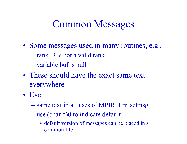### Common Messages

- Some messages used in many routines, e.g.,
	- rank -3 is not a valid rank
	- variable buf is null
- These should have the exact same text everywhere
- Use
	- same text in all uses of MPIR Err\_setmsg
	- use (char \*)0 to indicate default
		- default version of messages can be placed in a common file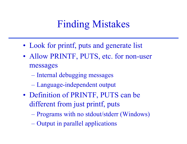## Finding Mistakes

- Look for printf, puts and generate list
- Allow PRINTF, PUTS, etc. for non-user messages
	- Internal debugging messages
	- Language-independent output
- Definition of PRINTF, PUTS can be different from just printf, puts
	- Programs with no stdout/stderr (Windows)
	- Output in parallel applications